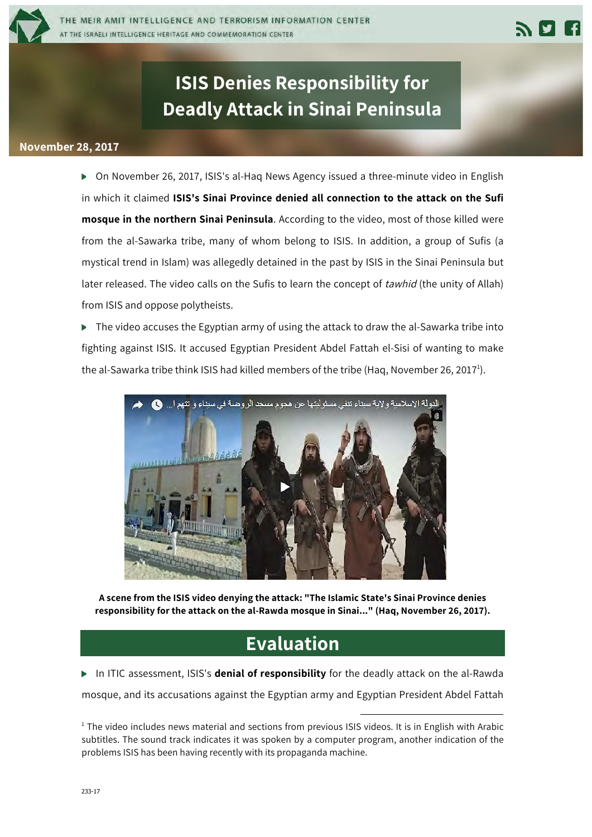

## **ISIS Denies Responsibility for Deadly Attack in Sinai Peninsula**

## **November 28, 2017**

▶ On November 26, 2017, ISIS's al-Haq News Agency issued a three-minute video in English in which it claimed **ISIS's Sinai Province denied all connection to the attack on the Sufi mosque in the northern Sinai Peninsula**. According to the video, most of those killed were from the al-Sawarka tribe, many of whom belong to ISIS. In addition, a group of Sufis (a mystical trend in Islam) was allegedly detained in the past by ISIS in the Sinai Peninsula but later released. The video calls on the Sufis to learn the concept of tawhid (the unity of Allah) from ISIS and oppose polytheists.

 $\triangleright$  The video accuses the Egyptian army of using the attack to draw the al-Sawarka tribe into fighting against ISIS. It accused Egyptian President Abdel Fattah el-Sisi of wanting to make the al-Sawarka tribe think ISIS had killed members of the tribe (Haq, November 26, 2017 $^{\rm l}$ ).



**A scene from the ISIS video denying the attack: "The Islamic State's Sinai Province denies responsibility for the attack on the al-Rawda mosque in Sinai..." (Haq, November 26, 2017).**

## **Evaluation**

In ITIC assessment, ISIS's **denial of responsibility** for the deadly attack on the al-Rawda mosque, and its accusations against the Egyptian army and Egyptian President Abdel Fattah

<sup>1</sup> The video includes news material and sections from previous ISIS videos. It is in English with Arabic subtitles. The sound track indicates it was spoken by a computer program, another indication of the problems ISIS has been having recently with its propaganda machine.

<u>.</u>